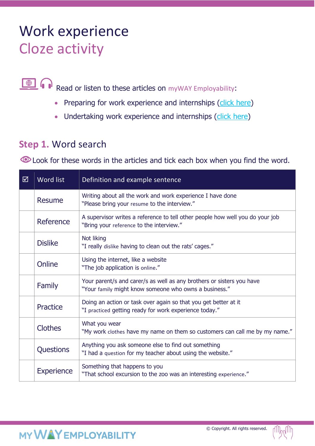## Work experience Cloze activity

 $\bigcirc$   $\bigcirc$ Read or listen to these articles on myWAY Employability:

- Preparing for work experience and internships (click here)
- Undertaking work experience and internships (click here)

## **Step 1.** Word search

**O** Look for these words in the articles and tick each box when you find the word.

| 冈 | Word list         | Definition and example sentence                                                                                                |  |
|---|-------------------|--------------------------------------------------------------------------------------------------------------------------------|--|
|   | <b>Resume</b>     | Writing about all the work and work experience I have done<br>"Please bring your resume to the interview."                     |  |
|   | Reference         | A supervisor writes a reference to tell other people how well you do your job<br>"Bring your reference to the interview."      |  |
|   | <b>Dislike</b>    | Not liking<br>"I really dislike having to clean out the rats' cages."                                                          |  |
|   | Online            | Using the internet, like a website<br>"The job application is online."                                                         |  |
|   | Family            | Your parent/s and carer/s as well as any brothers or sisters you have<br>"Your family might know someone who owns a business." |  |
|   | Practice          | Doing an action or task over again so that you get better at it<br>"I practiced getting ready for work experience today."      |  |
|   | <b>Clothes</b>    | What you wear<br>"My work clothes have my name on them so customers can call me by my name."                                   |  |
|   | Questions         | Anything you ask someone else to find out something<br>"I had a question for my teacher about using the website."              |  |
|   | <b>Experience</b> | Something that happens to you<br>"That school excursion to the zoo was an interesting experience."                             |  |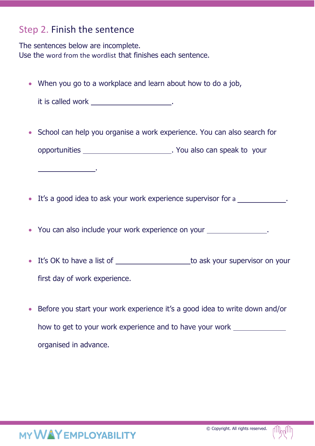## Step 2. Finish the sentence

The sentences below are incomplete. Use the word from the wordlist that finishes each sentence.

• When you go to a workplace and learn about how to do a job,

| it is called work |  |
|-------------------|--|
|                   |  |

.

- School can help you organise a work experience. You can also search for opportunities \_\_\_\_\_\_\_\_\_\_\_\_\_\_\_\_\_\_\_\_\_\_\_\_\_\_\_\_\_\_\_\_\_\_. You also can speak to your
- It's a good idea to ask your work experience supervisor for a
- You can also include your work experience on your .
- It's OK to have a list of the state of the state of to ask your supervisor on your first day of work experience.
- Before you start your work experience it's a good idea to write down and/or how to get to your work experience and to have your work organised in advance.